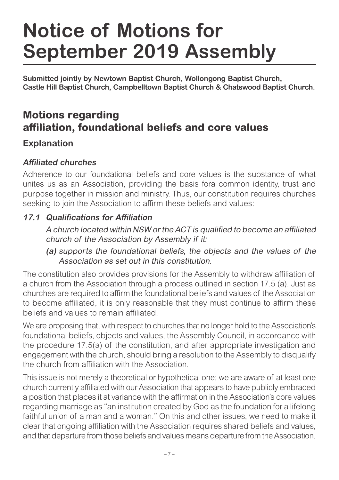# **Notice of Motions for September 2019 Assembly**

**Submitted jointly by Newtown Baptist Church, Wollongong Baptist Church, Castle Hill Baptist Church, Campbelltown Baptist Church & Chatswood Baptist Church.**

# **Motions regarding affiliation, foundational beliefs and core values**

## **Explanation**

#### **Affiliated churches**

Adherence to our foundational beliefs and core values is the substance of what unites us as an Association, providing the basis fora common identity, trust and purpose together in mission and ministry. Thus, our constitution requires churches seeking to join the Association to affirm these beliefs and values:

#### **17.1 Qualifications for Affiliation**

 A church located within NSW or the ACT is qualified to become an affiliated church of the Association by Assembly if it:

**(a)** supports the foundational beliefs, the objects and the values of the Association as set out in this constitution.

The constitution also provides provisions for the Assembly to withdraw affiliation of a church from the Association through a process outlined in section 17.5 (a). Just as churches are required to affirm the foundational beliefs and values of the Association to become affiliated, it is only reasonable that they must continue to affirm these beliefs and values to remain affiliated.

We are proposing that, with respect to churches that no longer hold to the Association's foundational beliefs, objects and values, the Assembly Council, in accordance with the procedure 17.5(a) of the constitution, and after appropriate investigation and engagement with the church, should bring a resolution to the Assembly to disqualify the church from affiliation with the Association.

This issue is not merely a theoretical or hypothetical one; we are aware of at least one church currently affiliated with our Association that appears to have publicly embraced a position that places it at variance with the affirmation in the Association's core values regarding marriage as "an institution created by God as the foundation for a lifelong faithful union of a man and a woman." On this and other issues, we need to make it clear that ongoing affiliation with the Association requires shared beliefs and values, and that departure from those beliefs and values means departure from the Association.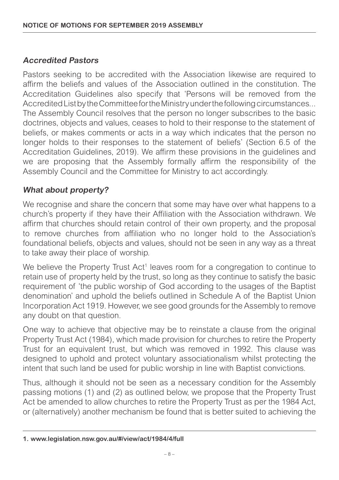#### **Accredited Pastors**

Pastors seeking to be accredited with the Association likewise are required to affirm the beliefs and values of the Association outlined in the constitution. The Accreditation Guidelines also specify that 'Persons will be removed from the Accredited List by the Committee for the Ministry under the following circumstances... The Assembly Council resolves that the person no longer subscribes to the basic doctrines, objects and values, ceases to hold to their response to the statement of beliefs, or makes comments or acts in a way which indicates that the person no longer holds to their responses to the statement of beliefs' (Section 6.5 of the Accreditation Guidelines, 2019). We affirm these provisions in the guidelines and we are proposing that the Assembly formally affirm the responsibility of the Assembly Council and the Committee for Ministry to act accordingly.

#### **What about property?**

We recognise and share the concern that some may have over what happens to a church's property if they have their Affiliation with the Association withdrawn. We affirm that churches should retain control of their own property, and the proposal to remove churches from affiliation who no longer hold to the Association's foundational beliefs, objects and values, should not be seen in any way as a threat to take away their place of worship.

We believe the Property Trust Act<sup>1</sup> leaves room for a congregation to continue to retain use of property held by the trust, so long as they continue to satisfy the basic requirement of 'the public worship of God according to the usages of the Baptist denomination' and uphold the beliefs outlined in Schedule A of the Baptist Union Incorporation Act 1919. However, we see good grounds for the Assembly to remove any doubt on that question.

One way to achieve that objective may be to reinstate a clause from the original Property Trust Act (1984), which made provision for churches to retire the Property Trust for an equivalent trust, but which was removed in 1992. This clause was designed to uphold and protect voluntary associationalism whilst protecting the intent that such land be used for public worship in line with Baptist convictions.

Thus, although it should not be seen as a necessary condition for the Assembly passing motions (1) and (2) as outlined below, we propose that the Property Trust Act be amended to allow churches to retire the Property Trust as per the 1984 Act. or (alternatively) another mechanism be found that is better suited to achieving the

**<sup>1.</sup> www.legislation.nsw.gov.au/#/view/act/1984/4/full**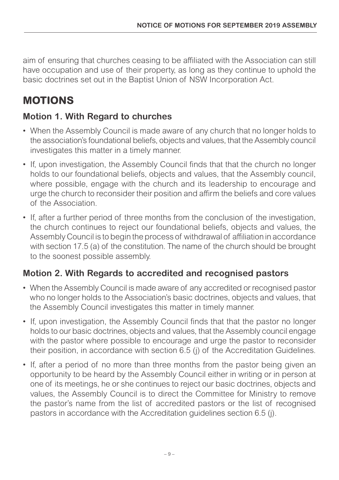aim of ensuring that churches ceasing to be affiliated with the Association can still have occupation and use of their property, as long as they continue to uphold the basic doctrines set out in the Baptist Union of NSW Incorporation Act.

# **MOTIONS**

## **Motion 1. With Regard to churches**

- When the Assembly Council is made aware of any church that no longer holds to the association's foundational beliefs, objects and values, that the Assembly council investigates this matter in a timely manner.
- If, upon investigation, the Assembly Council finds that that the church no longer holds to our foundational beliefs, objects and values, that the Assembly council, where possible, engage with the church and its leadership to encourage and urge the church to reconsider their position and affirm the beliefs and core values of the Association.
- If, after a further period of three months from the conclusion of the investigation, the church continues to reject our foundational beliefs, objects and values, the Assembly Council is to begin the process of withdrawal of affiliation in accordance with section 17.5 (a) of the constitution. The name of the church should be brought to the soonest possible assembly.

## **Motion 2. With Regards to accredited and recognised pastors**

- When the Assembly Council is made aware of any accredited or recognised pastor who no longer holds to the Association's basic doctrines, objects and values, that the Assembly Council investigates this matter in timely manner.
- If, upon investigation, the Assembly Council finds that that the pastor no longer holds to our basic doctrines, objects and values, that the Assembly council engage with the pastor where possible to encourage and urge the pastor to reconsider their position, in accordance with section 6.5 (j) of the Accreditation Guidelines.
- If, after a period of no more than three months from the pastor being given an opportunity to be heard by the Assembly Council either in writing or in person at one of its meetings, he or she continues to reject our basic doctrines, objects and values, the Assembly Council is to direct the Committee for Ministry to remove the pastor's name from the list of accredited pastors or the list of recognised pastors in accordance with the Accreditation guidelines section 6.5 (j).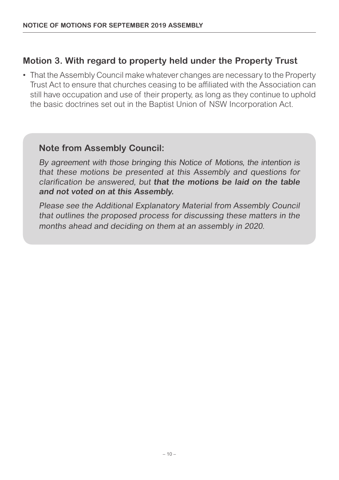#### **Motion 3. With regard to property held under the Property Trust**

• That the Assembly Council make whatever changes are necessary to the Property Trust Act to ensure that churches ceasing to be affiliated with the Association can still have occupation and use of their property, as long as they continue to uphold the basic doctrines set out in the Baptist Union of NSW Incorporation Act.

#### **Note from Assembly Council:**

By agreement with those bringing this Notice of Motions, the intention is that these motions be presented at this Assembly and questions for clarification be answered, but **that the motions be laid on the table and not voted on at this Assembly.**

Please see the Additional Explanatory Material from Assembly Council that outlines the proposed process for discussing these matters in the months ahead and deciding on them at an assembly in 2020.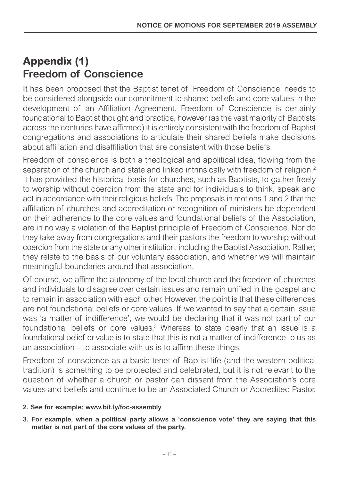# **Appendix (1) Freedom of Conscience**

It has been proposed that the Baptist tenet of 'Freedom of Conscience' needs to be considered alongside our commitment to shared beliefs and core values in the development of an Affiliation Agreement. Freedom of Conscience is certainly foundational to Baptist thought and practice, however (as the vast majority of Baptists across the centuries have affirmed) it is entirely consistent with the freedom of Baptist congregations and associations to articulate their shared beliefs make decisions about affiliation and disaffiliation that are consistent with those beliefs.

Freedom of conscience is both a theological and apolitical idea, flowing from the separation of the church and state and linked intrinsically with freedom of religion.<sup>2</sup> It has provided the historical basis for churches, such as Baptists, to gather freely to worship without coercion from the state and for individuals to think, speak and act in accordance with their religious beliefs. The proposals in motions 1 and 2 that the affiliation of churches and accreditation or recognition of ministers be dependent on their adherence to the core values and foundational beliefs of the Association, are in no way a violation of the Baptist principle of Freedom of Conscience. Nor do they take away from congregations and their pastors the freedom to worship without coercion from the state or any other institution, including the Baptist Association. Rather, they relate to the basis of our voluntary association, and whether we will maintain meaningful boundaries around that association.

Of course, we affirm the autonomy of the local church and the freedom of churches and individuals to disagree over certain issues and remain unified in the gospel and to remain in association with each other. However, the point is that these differences are not foundational beliefs or core values. If we wanted to say that a certain issue was 'a matter of indifference', we would be declaring that it was not part of our foundational beliefs or core values.3 Whereas to state clearly that an issue is a foundational belief or value is to state that this is not a matter of indifference to us as an association – to associate with us is to affirm these things.

Freedom of conscience as a basic tenet of Baptist life (and the western political tradition) is something to be protected and celebrated, but it is not relevant to the question of whether a church or pastor can dissent from the Association's core values and beliefs and continue to be an Associated Church or Accredited Pastor.

**<sup>2.</sup> See for example: www.bit.ly/foc-assembly**

**<sup>3.</sup> For example, when a political party allows a 'conscience vote' they are saying that this matter is not part of the core values of the party.**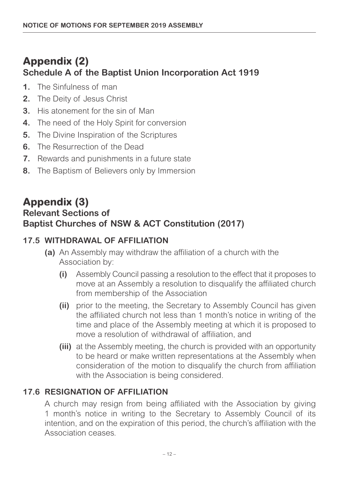# **Appendix (2) Schedule A of the Baptist Union Incorporation Act 1919**

- **1.** The Sinfulness of man
- **2.** The Deity of Jesus Christ
- **3.** His atonement for the sin of Man
- **4.** The need of the Holy Spirit for conversion
- **5.** The Divine Inspiration of the Scriptures
- **6.** The Resurrection of the Dead
- **7.** Rewards and punishments in a future state
- **8.** The Baptism of Believers only by Immersion

## **Appendix (3) Relevant Sections of Baptist Churches of NSW & ACT Constitution (2017)**

#### **17.5 WITHDRAWAL OF AFFILIATION**

- **(a)** An Assembly may withdraw the affiliation of a church with the Association by:
	- **(i)** Assembly Council passing a resolution to the effect that it proposes to move at an Assembly a resolution to disqualify the affiliated church from membership of the Association
	- **(ii)** prior to the meeting, the Secretary to Assembly Council has given the affiliated church not less than 1 month's notice in writing of the time and place of the Assembly meeting at which it is proposed to move a resolution of withdrawal of affiliation, and
	- **(iii)** at the Assembly meeting, the church is provided with an opportunity to be heard or make written representations at the Assembly when consideration of the motion to disqualify the church from affiliation with the Association is being considered.

#### **17.6 RESIGNATION OF AFFILIATION**

A church may resign from being affiliated with the Association by giving 1 month's notice in writing to the Secretary to Assembly Council of its intention, and on the expiration of this period, the church's affiliation with the Association ceases.